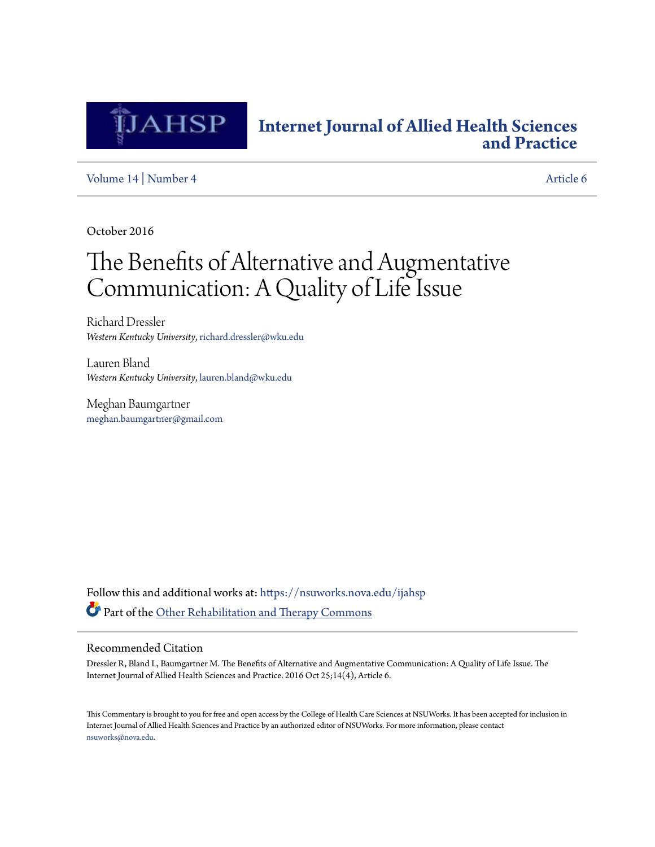

## **[Internet Journal of Allied Health Sciences](https://nsuworks.nova.edu/ijahsp?utm_source=nsuworks.nova.edu%2Fijahsp%2Fvol14%2Fiss4%2F6&utm_medium=PDF&utm_campaign=PDFCoverPages) [and Practice](https://nsuworks.nova.edu/ijahsp?utm_source=nsuworks.nova.edu%2Fijahsp%2Fvol14%2Fiss4%2F6&utm_medium=PDF&utm_campaign=PDFCoverPages)**

[Volume 14](https://nsuworks.nova.edu/ijahsp/vol14?utm_source=nsuworks.nova.edu%2Fijahsp%2Fvol14%2Fiss4%2F6&utm_medium=PDF&utm_campaign=PDFCoverPages) | [Number 4](https://nsuworks.nova.edu/ijahsp/vol14/iss4?utm_source=nsuworks.nova.edu%2Fijahsp%2Fvol14%2Fiss4%2F6&utm_medium=PDF&utm_campaign=PDFCoverPages) [Article 6](https://nsuworks.nova.edu/ijahsp/vol14/iss4/6?utm_source=nsuworks.nova.edu%2Fijahsp%2Fvol14%2Fiss4%2F6&utm_medium=PDF&utm_campaign=PDFCoverPages)

October 2016

# The Benefits of Alternative and Augmentative Communication: A Quality of Life Issue

Richard Dressler *Western Kentucky University*, richard.dressler@wku.edu

Lauren Bland *Western Kentucky University*, lauren.bland@wku.edu

Meghan Baumgartner meghan.baumgartner@gmail.com

Follow this and additional works at: [https://nsuworks.nova.edu/ijahsp](https://nsuworks.nova.edu/ijahsp?utm_source=nsuworks.nova.edu%2Fijahsp%2Fvol14%2Fiss4%2F6&utm_medium=PDF&utm_campaign=PDFCoverPages) Part of the [Other Rehabilitation and Therapy Commons](http://network.bepress.com/hgg/discipline/758?utm_source=nsuworks.nova.edu%2Fijahsp%2Fvol14%2Fiss4%2F6&utm_medium=PDF&utm_campaign=PDFCoverPages)

### Recommended Citation

Dressler R, Bland L, Baumgartner M. The Benefits of Alternative and Augmentative Communication: A Quality of Life Issue. The Internet Journal of Allied Health Sciences and Practice. 2016 Oct 25;14(4), Article 6.

This Commentary is brought to you for free and open access by the College of Health Care Sciences at NSUWorks. It has been accepted for inclusion in Internet Journal of Allied Health Sciences and Practice by an authorized editor of NSUWorks. For more information, please contact [nsuworks@nova.edu.](mailto:nsuworks@nova.edu)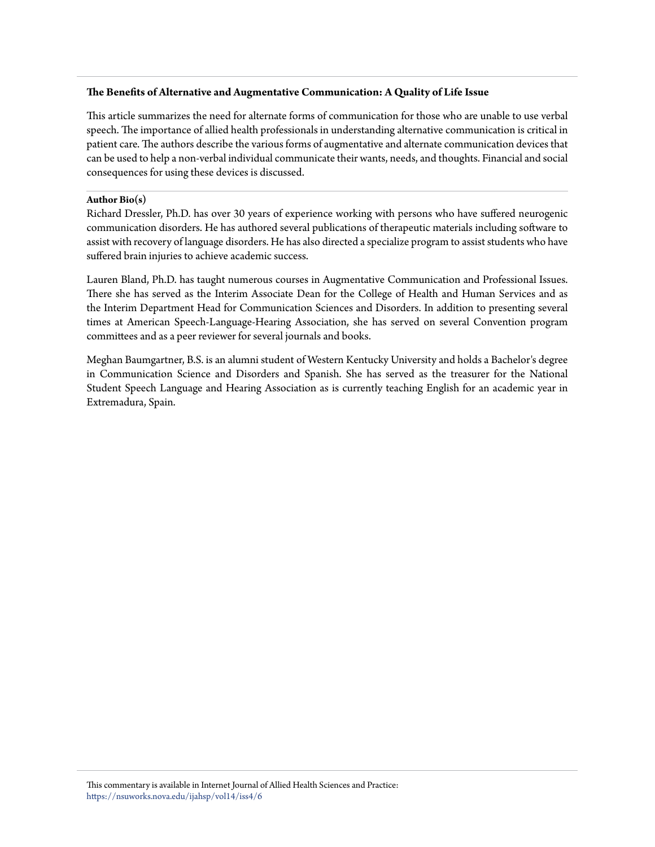### **The Benefits of Alternative and Augmentative Communication: A Quality of Life Issue**

This article summarizes the need for alternate forms of communication for those who are unable to use verbal speech. The importance of allied health professionals in understanding alternative communication is critical in patient care. The authors describe the various forms of augmentative and alternate communication devices that can be used to help a non-verbal individual communicate their wants, needs, and thoughts. Financial and social consequences for using these devices is discussed.

#### **Author Bio(s)**

Richard Dressler, Ph.D. has over 30 years of experience working with persons who have suffered neurogenic communication disorders. He has authored several publications of therapeutic materials including software to assist with recovery of language disorders. He has also directed a specialize program to assist students who have suffered brain injuries to achieve academic success.

Lauren Bland, Ph.D. has taught numerous courses in Augmentative Communication and Professional Issues. There she has served as the Interim Associate Dean for the College of Health and Human Services and as the Interim Department Head for Communication Sciences and Disorders. In addition to presenting several times at American Speech-Language-Hearing Association, she has served on several Convention program committees and as a peer reviewer for several journals and books.

Meghan Baumgartner, B.S. is an alumni student of Western Kentucky University and holds a Bachelor's degree in Communication Science and Disorders and Spanish. She has served as the treasurer for the National Student Speech Language and Hearing Association as is currently teaching English for an academic year in Extremadura, Spain.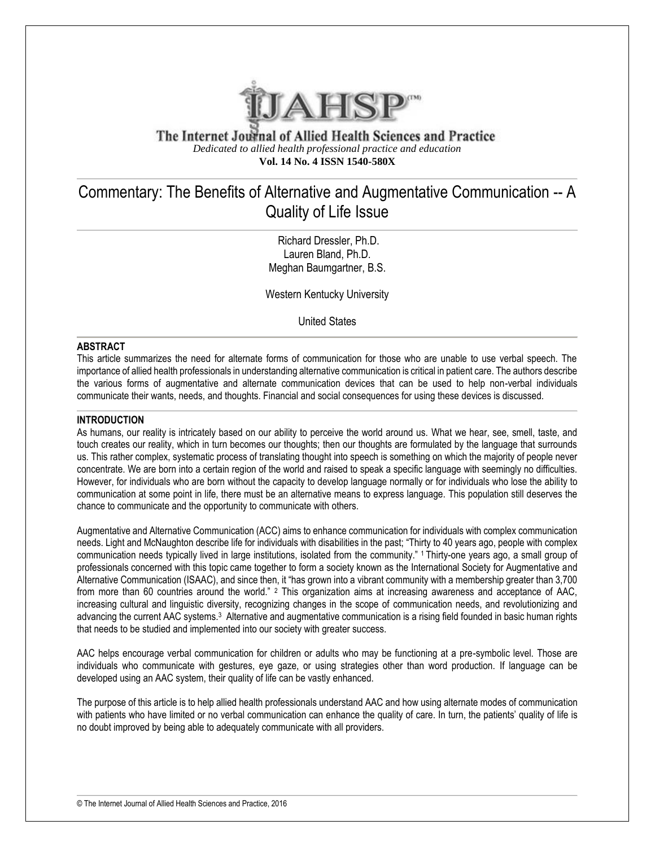

The Internet Journal of Allied Health Sciences and Practice *Dedicated to allied health professional practice and education* **Vol. 14 No. 4 ISSN 1540-580X**

## Commentary: The Benefits of Alternative and Augmentative Communication -- A Quality of Life Issue

Richard Dressler, Ph.D. Lauren Bland, Ph.D. Meghan Baumgartner, B.S.

Western Kentucky University

United States

#### **ABSTRACT**

This article summarizes the need for alternate forms of communication for those who are unable to use verbal speech. The importance of allied health professionals in understanding alternative communication is critical in patient care. The authors describe the various forms of augmentative and alternate communication devices that can be used to help non-verbal individuals communicate their wants, needs, and thoughts. Financial and social consequences for using these devices is discussed.

#### **INTRODUCTION**

As humans, our reality is intricately based on our ability to perceive the world around us. What we hear, see, smell, taste, and touch creates our reality, which in turn becomes our thoughts; then our thoughts are formulated by the language that surrounds us. This rather complex, systematic process of translating thought into speech is something on which the majority of people never concentrate. We are born into a certain region of the world and raised to speak a specific language with seemingly no difficulties. However, for individuals who are born without the capacity to develop language normally or for individuals who lose the ability to communication at some point in life, there must be an alternative means to express language. This population still deserves the chance to communicate and the opportunity to communicate with others.

Augmentative and Alternative Communication (ACC) aims to enhance communication for individuals with complex communication needs. Light and McNaughton describe life for individuals with disabilities in the past; "Thirty to 40 years ago, people with complex communication needs typically lived in large institutions, isolated from the community." 1 Thirty-one years ago, a small group of professionals concerned with this topic came together to form a society known as the International Society for Augmentative and Alternative Communication (ISAAC), and since then, it "has grown into a vibrant community with a membership greater than 3,700 from more than 60 countries around the world." <sup>2</sup> This organization aims at increasing awareness and acceptance of AAC, increasing cultural and linguistic diversity, recognizing changes in the scope of communication needs, and revolutionizing and advancing the current AAC systems.<sup>3</sup> Alternative and augmentative communication is a rising field founded in basic human rights that needs to be studied and implemented into our society with greater success.

AAC helps encourage verbal communication for children or adults who may be functioning at a pre-symbolic level. Those are individuals who communicate with gestures, eye gaze, or using strategies other than word production. If language can be developed using an AAC system, their quality of life can be vastly enhanced.

The purpose of this article is to help allied health professionals understand AAC and how using alternate modes of communication with patients who have limited or no verbal communication can enhance the quality of care. In turn, the patients' quality of life is no doubt improved by being able to adequately communicate with all providers.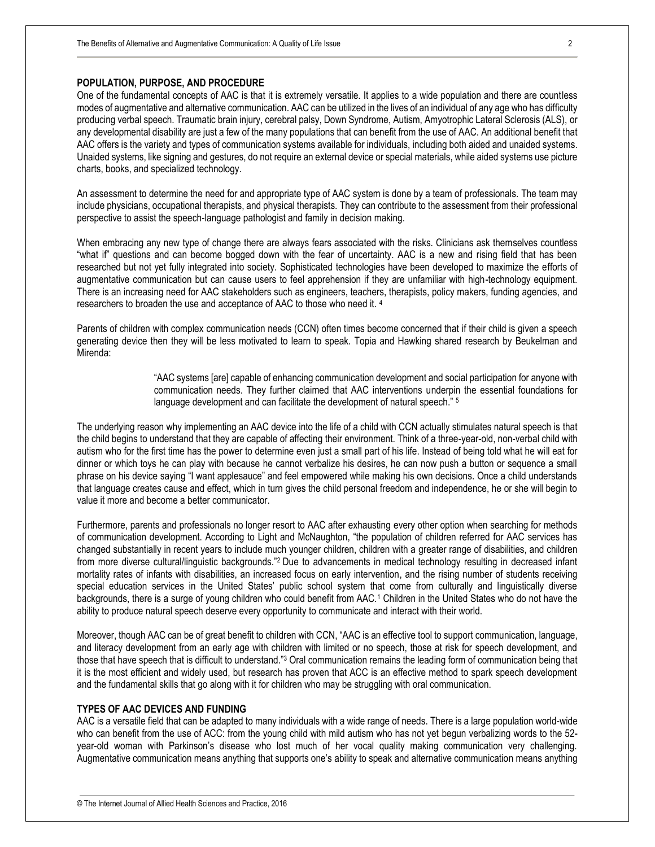#### **POPULATION, PURPOSE, AND PROCEDURE**

One of the fundamental concepts of AAC is that it is extremely versatile. It applies to a wide population and there are countless modes of augmentative and alternative communication. AAC can be utilized in the lives of an individual of any age who has difficulty producing verbal speech. Traumatic brain injury, cerebral palsy, Down Syndrome, Autism, Amyotrophic Lateral Sclerosis (ALS), or any developmental disability are just a few of the many populations that can benefit from the use of AAC. An additional benefit that AAC offers is the variety and types of communication systems available for individuals, including both aided and unaided systems. Unaided systems, like signing and gestures, do not require an external device or special materials, while aided systems use picture charts, books, and specialized technology.

An assessment to determine the need for and appropriate type of AAC system is done by a team of professionals. The team may include physicians, occupational therapists, and physical therapists. They can contribute to the assessment from their professional perspective to assist the speech-language pathologist and family in decision making.

When embracing any new type of change there are always fears associated with the risks. Clinicians ask themselves countless "what if" questions and can become bogged down with the fear of uncertainty. AAC is a new and rising field that has been researched but not yet fully integrated into society. Sophisticated technologies have been developed to maximize the efforts of augmentative communication but can cause users to feel apprehension if they are unfamiliar with high-technology equipment. There is an increasing need for AAC stakeholders such as engineers, teachers, therapists, policy makers, funding agencies, and researchers to broaden the use and acceptance of AAC to those who need it. <sup>4</sup>

Parents of children with complex communication needs (CCN) often times become concerned that if their child is given a speech generating device then they will be less motivated to learn to speak. Topia and Hawking shared research by Beukelman and Mirenda:

> "AAC systems [are] capable of enhancing communication development and social participation for anyone with communication needs. They further claimed that AAC interventions underpin the essential foundations for language development and can facilitate the development of natural speech." <sup>5</sup>

The underlying reason why implementing an AAC device into the life of a child with CCN actually stimulates natural speech is that the child begins to understand that they are capable of affecting their environment. Think of a three-year-old, non-verbal child with autism who for the first time has the power to determine even just a small part of his life. Instead of being told what he will eat for dinner or which toys he can play with because he cannot verbalize his desires, he can now push a button or sequence a small phrase on his device saying "I want applesauce" and feel empowered while making his own decisions. Once a child understands that language creates cause and effect, which in turn gives the child personal freedom and independence, he or she will begin to value it more and become a better communicator.

Furthermore, parents and professionals no longer resort to AAC after exhausting every other option when searching for methods of communication development. According to Light and McNaughton, "the population of children referred for AAC services has changed substantially in recent years to include much younger children, children with a greater range of disabilities, and children from more diverse cultural/linguistic backgrounds."<sup>2</sup> Due to advancements in medical technology resulting in decreased infant mortality rates of infants with disabilities, an increased focus on early intervention, and the rising number of students receiving special education services in the United States' public school system that come from culturally and linguistically diverse backgrounds, there is a surge of young children who could benefit from AAC.<sup>1</sup> Children in the United States who do not have the ability to produce natural speech deserve every opportunity to communicate and interact with their world.

Moreover, though AAC can be of great benefit to children with CCN, "AAC is an effective tool to support communication, language, and literacy development from an early age with children with limited or no speech, those at risk for speech development, and those that have speech that is difficult to understand."<sup>3</sup> Oral communication remains the leading form of communication being that it is the most efficient and widely used, but research has proven that ACC is an effective method to spark speech development and the fundamental skills that go along with it for children who may be struggling with oral communication.

#### **TYPES OF AAC DEVICES AND FUNDING**

AAC is a versatile field that can be adapted to many individuals with a wide range of needs. There is a large population world-wide who can benefit from the use of ACC: from the young child with mild autism who has not yet begun verbalizing words to the 52 year-old woman with Parkinson's disease who lost much of her vocal quality making communication very challenging. Augmentative communication means anything that supports one's ability to speak and alternative communication means anything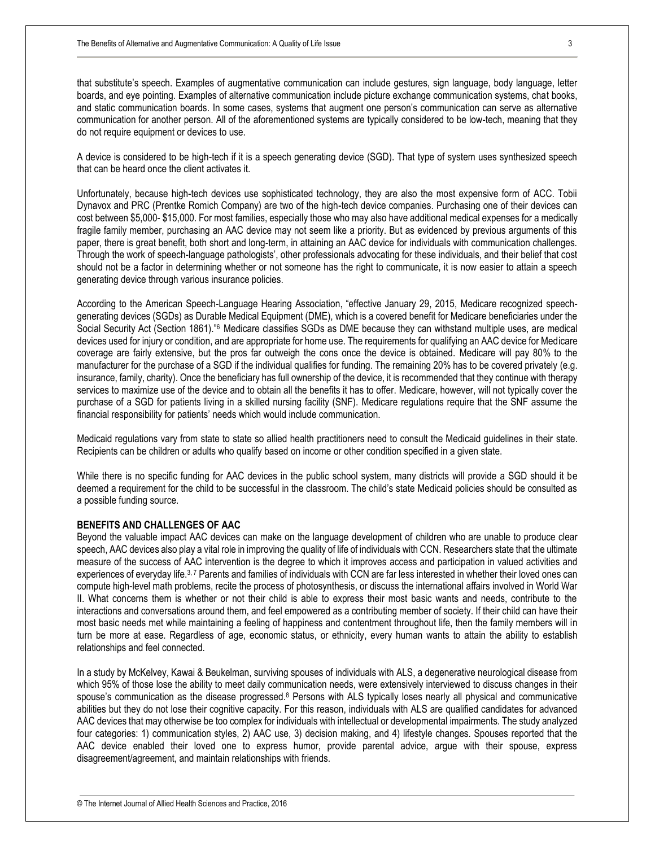that substitute's speech. Examples of augmentative communication can include gestures, sign language, body language, letter boards, and eye pointing. Examples of alternative communication include picture exchange communication systems, chat books, and static communication boards. In some cases, systems that augment one person's communication can serve as alternative communication for another person. All of the aforementioned systems are typically considered to be low-tech, meaning that they do not require equipment or devices to use.

A device is considered to be high-tech if it is a speech generating device (SGD). That type of system uses synthesized speech that can be heard once the client activates it.

Unfortunately, because high-tech devices use sophisticated technology, they are also the most expensive form of ACC. Tobii Dynavox and PRC (Prentke Romich Company) are two of the high-tech device companies. Purchasing one of their devices can cost between \$5,000- \$15,000. For most families, especially those who may also have additional medical expenses for a medically fragile family member, purchasing an AAC device may not seem like a priority. But as evidenced by previous arguments of this paper, there is great benefit, both short and long-term, in attaining an AAC device for individuals with communication challenges. Through the work of speech-language pathologists', other professionals advocating for these individuals, and their belief that cost should not be a factor in determining whether or not someone has the right to communicate, it is now easier to attain a speech generating device through various insurance policies.

According to the American Speech-Language Hearing Association, "effective January 29, 2015, Medicare recognized speechgenerating devices (SGDs) as Durable Medical Equipment (DME), which is a covered benefit for Medicare beneficiaries under the Social Security Act (Section 1861)."<sup>6</sup> Medicare classifies SGDs as DME because they can withstand multiple uses, are medical devices used for injury or condition, and are appropriate for home use. The requirements for qualifying an AAC device for Medicare coverage are fairly extensive, but the pros far outweigh the cons once the device is obtained. Medicare will pay 80% to the manufacturer for the purchase of a SGD if the individual qualifies for funding. The remaining 20% has to be covered privately (e.g. insurance, family, charity). Once the beneficiary has full ownership of the device, it is recommended that they continue with therapy services to maximize use of the device and to obtain all the benefits it has to offer. Medicare, however, will not typically cover the purchase of a SGD for patients living in a skilled nursing facility (SNF). Medicare regulations require that the SNF assume the financial responsibility for patients' needs which would include communication.

Medicaid regulations vary from state to state so allied health practitioners need to consult the Medicaid guidelines in their state. Recipients can be children or adults who qualify based on income or other condition specified in a given state.

While there is no specific funding for AAC devices in the public school system, many districts will provide a SGD should it be deemed a requirement for the child to be successful in the classroom. The child's state Medicaid policies should be consulted as a possible funding source.

#### **BENEFITS AND CHALLENGES OF AAC**

Beyond the valuable impact AAC devices can make on the language development of children who are unable to produce clear speech, AAC devices also play a vital role in improving the quality of life of individuals with CCN. Researchers state that the ultimate measure of the success of AAC intervention is the degree to which it improves access and participation in valued activities and experiences of everyday life.<sup>3, 7</sup> Parents and families of individuals with CCN are far less interested in whether their loved ones can compute high-level math problems, recite the process of photosynthesis, or discuss the international affairs involved in World War II. What concerns them is whether or not their child is able to express their most basic wants and needs, contribute to the interactions and conversations around them, and feel empowered as a contributing member of society. If their child can have their most basic needs met while maintaining a feeling of happiness and contentment throughout life, then the family members will in turn be more at ease. Regardless of age, economic status, or ethnicity, every human wants to attain the ability to establish relationships and feel connected.

In a study by McKelvey, Kawai & Beukelman, surviving spouses of individuals with ALS, a degenerative neurological disease from which 95% of those lose the ability to meet daily communication needs, were extensively interviewed to discuss changes in their spouse's communication as the disease progressed.<sup>8</sup> Persons with ALS typically loses nearly all physical and communicative abilities but they do not lose their cognitive capacity. For this reason, individuals with ALS are qualified candidates for advanced AAC devices that may otherwise be too complex for individuals with intellectual or developmental impairments. The study analyzed four categories: 1) communication styles, 2) AAC use, 3) decision making, and 4) lifestyle changes. Spouses reported that the AAC device enabled their loved one to express humor, provide parental advice, argue with their spouse, express disagreement/agreement, and maintain relationships with friends.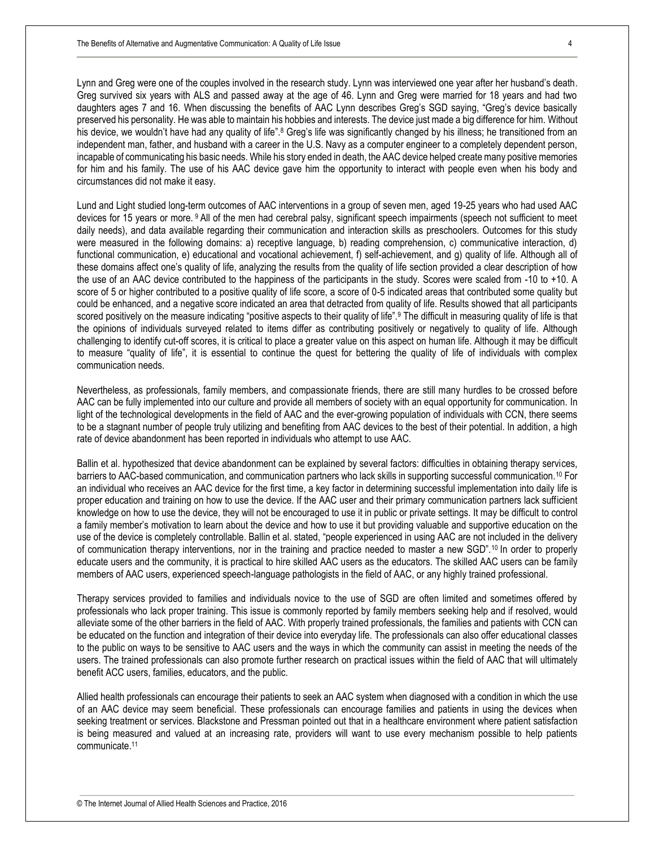Lynn and Greg were one of the couples involved in the research study. Lynn was interviewed one year after her husband's death. Greg survived six years with ALS and passed away at the age of 46. Lynn and Greg were married for 18 years and had two daughters ages 7 and 16. When discussing the benefits of AAC Lynn describes Greg's SGD saying, "Greg's device basically preserved his personality. He was able to maintain his hobbies and interests. The device just made a big difference for him. Without his device, we wouldn't have had any quality of life".<sup>8</sup> Greg's life was significantly changed by his illness; he transitioned from an independent man, father, and husband with a career in the U.S. Navy as a computer engineer to a completely dependent person, incapable of communicating his basic needs. While his story ended in death, the AAC device helped create many positive memories for him and his family. The use of his AAC device gave him the opportunity to interact with people even when his body and circumstances did not make it easy.

Lund and Light studied long-term outcomes of AAC interventions in a group of seven men, aged 19-25 years who had used AAC devices for 15 years or more. <sup>9</sup> All of the men had cerebral palsy, significant speech impairments (speech not sufficient to meet daily needs), and data available regarding their communication and interaction skills as preschoolers. Outcomes for this study were measured in the following domains: a) receptive language, b) reading comprehension, c) communicative interaction, d) functional communication, e) educational and vocational achievement, f) self-achievement, and q) quality of life. Although all of these domains affect one's quality of life, analyzing the results from the quality of life section provided a clear description of how the use of an AAC device contributed to the happiness of the participants in the study. Scores were scaled from -10 to +10. A score of 5 or higher contributed to a positive quality of life score, a score of 0-5 indicated areas that contributed some quality but could be enhanced, and a negative score indicated an area that detracted from quality of life. Results showed that all participants scored positively on the measure indicating "positive aspects to their quality of life".<sup>9</sup> The difficult in measuring quality of life is that the opinions of individuals surveyed related to items differ as contributing positively or negatively to quality of life. Although challenging to identify cut-off scores, it is critical to place a greater value on this aspect on human life. Although it may be difficult to measure "quality of life", it is essential to continue the quest for bettering the quality of life of individuals with complex communication needs.

Nevertheless, as professionals, family members, and compassionate friends, there are still many hurdles to be crossed before AAC can be fully implemented into our culture and provide all members of society with an equal opportunity for communication. In light of the technological developments in the field of AAC and the ever-growing population of individuals with CCN, there seems to be a stagnant number of people truly utilizing and benefiting from AAC devices to the best of their potential. In addition, a high rate of device abandonment has been reported in individuals who attempt to use AAC.

Ballin et al. hypothesized that device abandonment can be explained by several factors: difficulties in obtaining therapy services, barriers to AAC-based communication, and communication partners who lack skills in supporting successful communication.<sup>10</sup> For an individual who receives an AAC device for the first time, a key factor in determining successful implementation into daily life is proper education and training on how to use the device. If the AAC user and their primary communication partners lack sufficient knowledge on how to use the device, they will not be encouraged to use it in public or private settings. It may be difficult to control a family member's motivation to learn about the device and how to use it but providing valuable and supportive education on the use of the device is completely controllable. Ballin et al. stated, "people experienced in using AAC are not included in the delivery of communication therapy interventions, nor in the training and practice needed to master a new SGD".<sup>10</sup> In order to properly educate users and the community, it is practical to hire skilled AAC users as the educators. The skilled AAC users can be family members of AAC users, experienced speech-language pathologists in the field of AAC, or any highly trained professional.

Therapy services provided to families and individuals novice to the use of SGD are often limited and sometimes offered by professionals who lack proper training. This issue is commonly reported by family members seeking help and if resolved, would alleviate some of the other barriers in the field of AAC. With properly trained professionals, the families and patients with CCN can be educated on the function and integration of their device into everyday life. The professionals can also offer educational classes to the public on ways to be sensitive to AAC users and the ways in which the community can assist in meeting the needs of the users. The trained professionals can also promote further research on practical issues within the field of AAC that will ultimately benefit ACC users, families, educators, and the public.

Allied health professionals can encourage their patients to seek an AAC system when diagnosed with a condition in which the use of an AAC device may seem beneficial. These professionals can encourage families and patients in using the devices when seeking treatment or services. Blackstone and Pressman pointed out that in a healthcare environment where patient satisfaction is being measured and valued at an increasing rate, providers will want to use every mechanism possible to help patients communicate.11